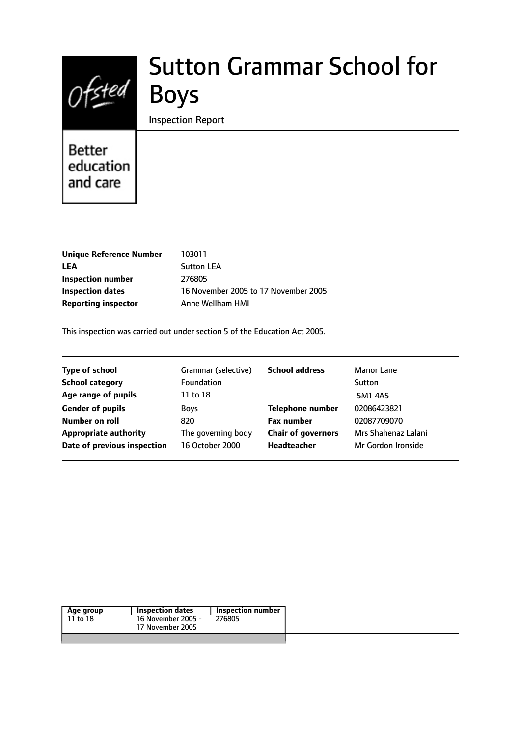

# Sutton Grammar School for

Inspection Report

# Better education and care

| 103011                               |
|--------------------------------------|
| <b>Sutton LEA</b>                    |
| 276805                               |
| 16 November 2005 to 17 November 2005 |
| Anne Wellham HMI                     |
|                                      |

This inspection was carried out under section 5 of the Education Act 2005.

| <b>Type of school</b>        | Grammar (selective) | <b>School address</b>     | Manor Lane          |
|------------------------------|---------------------|---------------------------|---------------------|
| <b>School category</b>       | <b>Foundation</b>   |                           | Sutton              |
| Age range of pupils          | 11 to 18            |                           | SM1 4AS             |
| <b>Gender of pupils</b>      | <b>Boys</b>         | <b>Telephone number</b>   | 02086423821         |
| Number on roll               | 820                 | <b>Fax number</b>         | 02087709070         |
| <b>Appropriate authority</b> | The governing body  | <b>Chair of governors</b> | Mrs Shahenaz Lalani |
| Date of previous inspection  | 16 October 2000     | <b>Headteacher</b>        | Mr Gordon Ironside  |
|                              |                     |                           |                     |

| Age group | Inspection dates   | Inspection number |
|-----------|--------------------|-------------------|
| 11 to 18  | 16 November 2005 - | 276805            |
|           | 17 November 2005   |                   |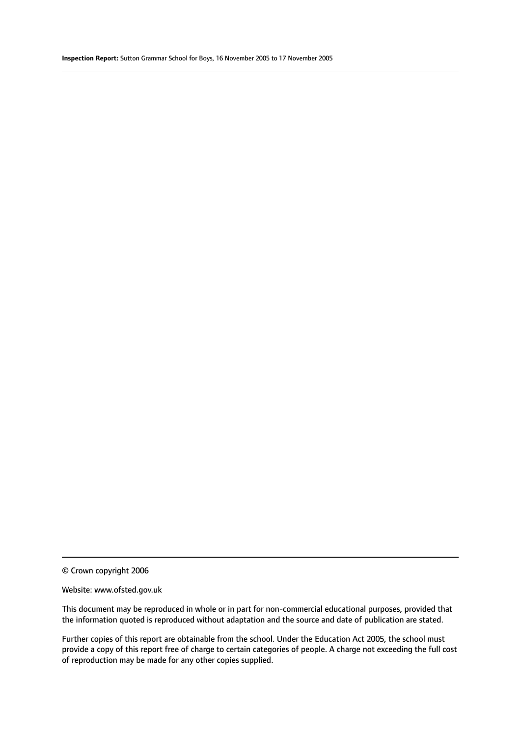© Crown copyright 2006

#### Website: www.ofsted.gov.uk

This document may be reproduced in whole or in part for non-commercial educational purposes, provided that the information quoted is reproduced without adaptation and the source and date of publication are stated.

Further copies of this report are obtainable from the school. Under the Education Act 2005, the school must provide a copy of this report free of charge to certain categories of people. A charge not exceeding the full cost of reproduction may be made for any other copies supplied.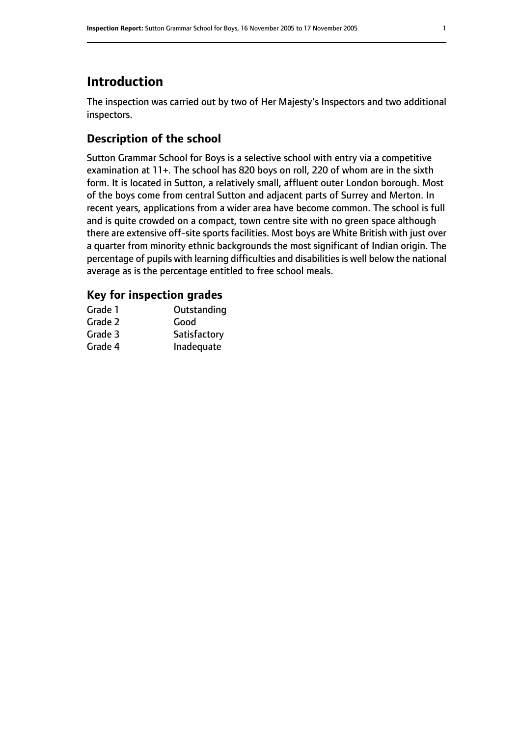## **Introduction**

The inspection was carried out by two of Her Majesty's Inspectors and two additional inspectors.

## **Description of the school**

Sutton Grammar School for Boys is a selective school with entry via a competitive examination at 11+. The school has 820 boys on roll, 220 of whom are in the sixth form. It is located in Sutton, a relatively small, affluent outer London borough. Most of the boys come from central Sutton and adjacent parts of Surrey and Merton. In recent years, applications from a wider area have become common. The school is full and is quite crowded on a compact, town centre site with no green space although there are extensive off-site sports facilities. Most boys are White British with just over a quarter from minority ethnic backgrounds the most significant of Indian origin. The percentage of pupils with learning difficulties and disabilities is well below the national average as is the percentage entitled to free school meals.

### **Key for inspection grades**

| Outstanding  |
|--------------|
| Good         |
| Satisfactory |
| Inadequate   |
|              |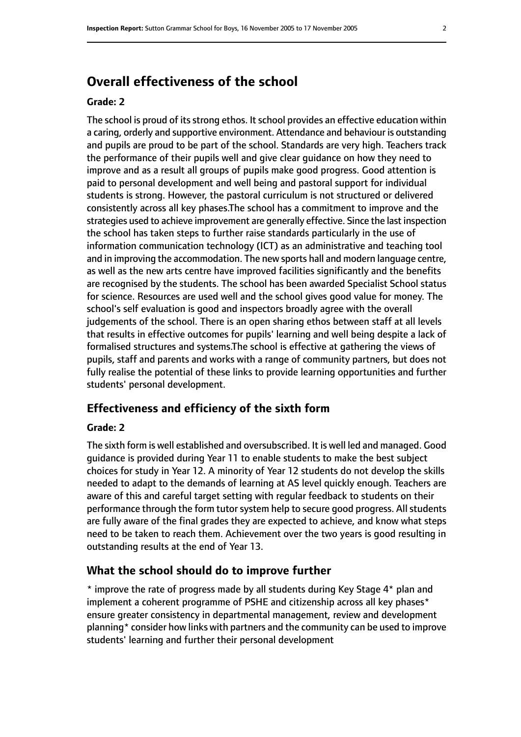## **Overall effectiveness of the school**

#### **Grade: 2**

The school is proud of its strong ethos. It school provides an effective education within a caring, orderly and supportive environment. Attendance and behaviour is outstanding and pupils are proud to be part of the school. Standards are very high. Teachers track the performance of their pupils well and give clear guidance on how they need to improve and as a result all groups of pupils make good progress. Good attention is paid to personal development and well being and pastoral support for individual students is strong. However, the pastoral curriculum is not structured or delivered consistently across all key phases.The school has a commitment to improve and the strategies used to achieve improvement are generally effective. Since the last inspection the school has taken steps to further raise standards particularly in the use of information communication technology (ICT) as an administrative and teaching tool and in improving the accommodation. The new sports hall and modern language centre, as well as the new arts centre have improved facilities significantly and the benefits are recognised by the students. The school has been awarded Specialist School status for science. Resources are used well and the school gives good value for money. The school's self evaluation is good and inspectors broadly agree with the overall judgements of the school. There is an open sharing ethos between staff at all levels that results in effective outcomes for pupils' learning and well being despite a lack of formalised structures and systems.The school is effective at gathering the views of pupils, staff and parents and works with a range of community partners, but does not fully realise the potential of these links to provide learning opportunities and further students' personal development.

#### **Effectiveness and efficiency of the sixth form**

#### **Grade: 2**

The sixth form is well established and oversubscribed. It is well led and managed. Good guidance is provided during Year 11 to enable students to make the best subject choices for study in Year 12. A minority of Year 12 students do not develop the skills needed to adapt to the demands of learning at AS level quickly enough. Teachers are aware of this and careful target setting with regular feedback to students on their performance through the form tutor system help to secure good progress. All students are fully aware of the final grades they are expected to achieve, and know what steps need to be taken to reach them. Achievement over the two years is good resulting in outstanding results at the end of Year 13.

#### **What the school should do to improve further**

\* improve the rate of progress made by all students during Key Stage 4\* plan and implement a coherent programme of PSHE and citizenship across all key phases\* ensure greater consistency in departmental management, review and development planning\* consider how links with partners and the community can be used to improve students' learning and further their personal development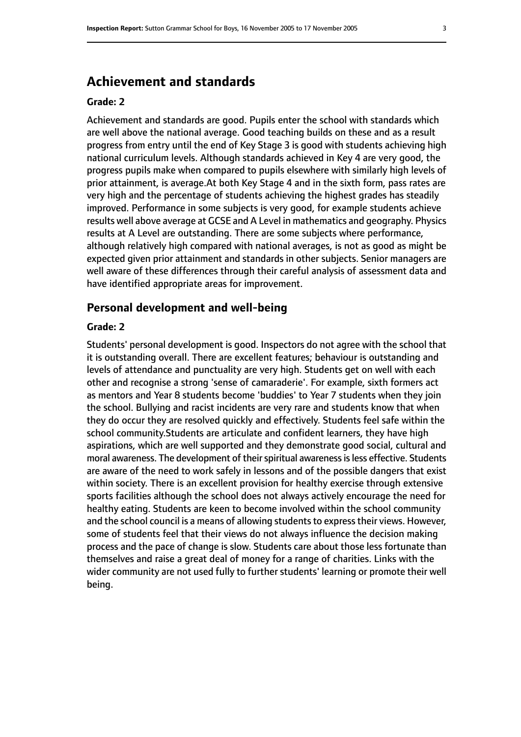## **Achievement and standards**

#### **Grade: 2**

Achievement and standards are good. Pupils enter the school with standards which are well above the national average. Good teaching builds on these and as a result progress from entry until the end of Key Stage 3 is good with students achieving high national curriculum levels. Although standards achieved in Key 4 are very good, the progress pupils make when compared to pupils elsewhere with similarly high levels of prior attainment, is average.At both Key Stage 4 and in the sixth form, pass rates are very high and the percentage of students achieving the highest grades has steadily improved. Performance in some subjects is very good, for example students achieve results well above average at GCSE and A Level in mathematics and geography. Physics results at A Level are outstanding. There are some subjects where performance, although relatively high compared with national averages, is not as good as might be expected given prior attainment and standards in other subjects. Senior managers are well aware of these differences through their careful analysis of assessment data and have identified appropriate areas for improvement.

#### **Personal development and well-being**

#### **Grade: 2**

Students' personal development is good. Inspectors do not agree with the school that it is outstanding overall. There are excellent features; behaviour is outstanding and levels of attendance and punctuality are very high. Students get on well with each other and recognise a strong 'sense of camaraderie'. For example, sixth formers act as mentors and Year 8 students become 'buddies' to Year 7 students when they join the school. Bullying and racist incidents are very rare and students know that when they do occur they are resolved quickly and effectively. Students feel safe within the school community.Students are articulate and confident learners, they have high aspirations, which are well supported and they demonstrate good social, cultural and moral awareness. The development of their spiritual awareness is less effective. Students are aware of the need to work safely in lessons and of the possible dangers that exist within society. There is an excellent provision for healthy exercise through extensive sports facilities although the school does not always actively encourage the need for healthy eating. Students are keen to become involved within the school community and the school council is a means of allowing students to express their views. However, some of students feel that their views do not always influence the decision making process and the pace of change is slow. Students care about those less fortunate than themselves and raise a great deal of money for a range of charities. Links with the wider community are not used fully to further students' learning or promote their well being.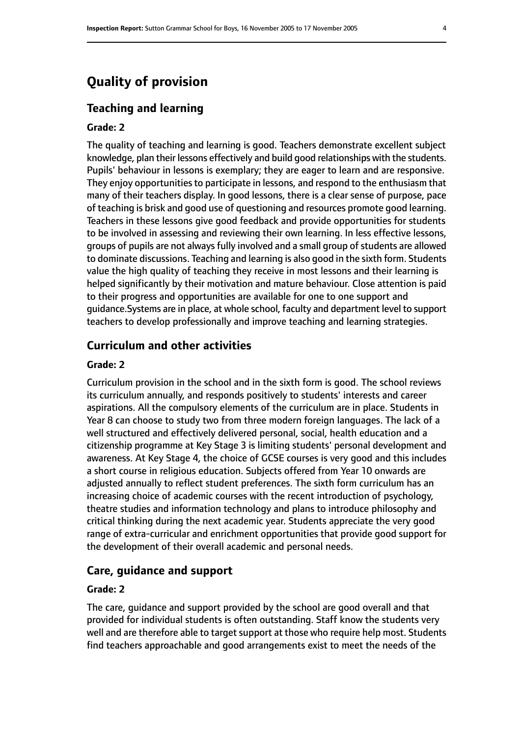## **Quality of provision**

#### **Teaching and learning**

#### **Grade: 2**

The quality of teaching and learning is good. Teachers demonstrate excellent subject knowledge, plan their lessons effectively and build good relationships with the students. Pupils' behaviour in lessons is exemplary; they are eager to learn and are responsive. They enjoy opportunities to participate in lessons, and respond to the enthusiasm that many of their teachers display. In good lessons, there is a clear sense of purpose, pace of teaching is brisk and good use of questioning and resources promote good learning. Teachers in these lessons give good feedback and provide opportunities for students to be involved in assessing and reviewing their own learning. In less effective lessons, groups of pupils are not always fully involved and a small group of students are allowed to dominate discussions. Teaching and learning is also good in the sixth form. Students value the high quality of teaching they receive in most lessons and their learning is helped significantly by their motivation and mature behaviour. Close attention is paid to their progress and opportunities are available for one to one support and guidance.Systems are in place, at whole school, faculty and department level to support teachers to develop professionally and improve teaching and learning strategies.

#### **Curriculum and other activities**

#### **Grade: 2**

Curriculum provision in the school and in the sixth form is good. The school reviews its curriculum annually, and responds positively to students' interests and career aspirations. All the compulsory elements of the curriculum are in place. Students in Year 8 can choose to study two from three modern foreign languages. The lack of a well structured and effectively delivered personal, social, health education and a citizenship programme at Key Stage 3 is limiting students' personal development and awareness. At Key Stage 4, the choice of GCSE courses is very good and this includes a short course in religious education. Subjects offered from Year 10 onwards are adjusted annually to reflect student preferences. The sixth form curriculum has an increasing choice of academic courses with the recent introduction of psychology, theatre studies and information technology and plans to introduce philosophy and critical thinking during the next academic year. Students appreciate the very good range of extra-curricular and enrichment opportunities that provide good support for the development of their overall academic and personal needs.

#### **Care, guidance and support**

#### **Grade: 2**

The care, guidance and support provided by the school are good overall and that provided for individual students is often outstanding. Staff know the students very well and are therefore able to target support at those who require help most. Students find teachers approachable and good arrangements exist to meet the needs of the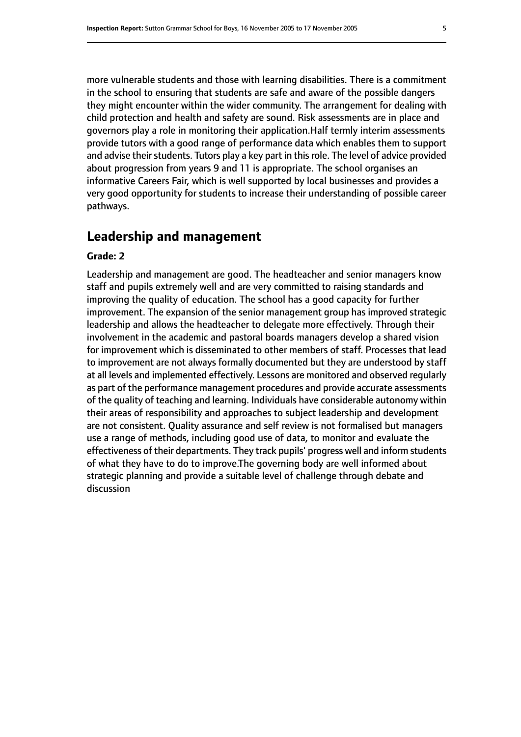more vulnerable students and those with learning disabilities. There is a commitment in the school to ensuring that students are safe and aware of the possible dangers they might encounter within the wider community. The arrangement for dealing with child protection and health and safety are sound. Risk assessments are in place and governors play a role in monitoring their application.Half termly interim assessments provide tutors with a good range of performance data which enables them to support and advise their students. Tutors play a key part in this role. The level of advice provided about progression from years 9 and 11 is appropriate. The school organises an informative Careers Fair, which is well supported by local businesses and provides a very good opportunity for students to increase their understanding of possible career pathways.

#### **Leadership and management**

#### **Grade: 2**

Leadership and management are good. The headteacher and senior managers know staff and pupils extremely well and are very committed to raising standards and improving the quality of education. The school has a good capacity for further improvement. The expansion of the senior management group has improved strategic leadership and allows the headteacher to delegate more effectively. Through their involvement in the academic and pastoral boards managers develop a shared vision for improvement which is disseminated to other members of staff. Processes that lead to improvement are not always formally documented but they are understood by staff at all levels and implemented effectively. Lessons are monitored and observed regularly as part of the performance management procedures and provide accurate assessments of the quality of teaching and learning. Individuals have considerable autonomy within their areas of responsibility and approaches to subject leadership and development are not consistent. Quality assurance and self review is not formalised but managers use a range of methods, including good use of data, to monitor and evaluate the effectiveness of their departments. They track pupils' progress well and inform students of what they have to do to improve.The governing body are well informed about strategic planning and provide a suitable level of challenge through debate and discussion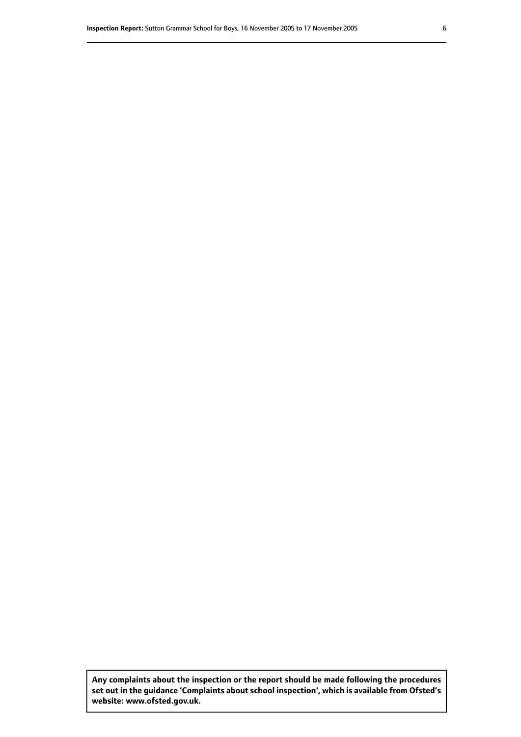**Any complaints about the inspection or the report should be made following the procedures set out inthe guidance 'Complaints about school inspection', whichis available from Ofsted's website: www.ofsted.gov.uk.**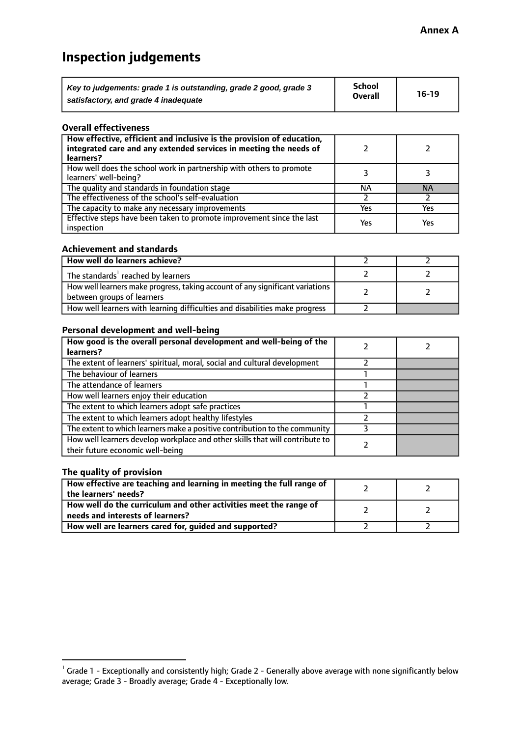## **Inspection judgements**

| Key to judgements: grade 1 is outstanding, grade 2 good, grade 3 | School<br><b>Overall</b> | $16-19$ |
|------------------------------------------------------------------|--------------------------|---------|
| satisfactory, and grade 4 inadequate                             |                          |         |

#### **Overall effectiveness**

| How effective, efficient and inclusive is the provision of education,<br>integrated care and any extended services in meeting the needs of<br>learners? |     |           |
|---------------------------------------------------------------------------------------------------------------------------------------------------------|-----|-----------|
| How well does the school work in partnership with others to promote<br>learners' well-being?                                                            |     |           |
| The quality and standards in foundation stage                                                                                                           | ΝA  | <b>NA</b> |
| The effectiveness of the school's self-evaluation                                                                                                       |     |           |
| The capacity to make any necessary improvements                                                                                                         | Yes | Yes       |
| Effective steps have been taken to promote improvement since the last<br>inspection                                                                     | Yes | Yes       |

#### **Achievement and standards**

| How well do learners achieve?                                                                               |  |
|-------------------------------------------------------------------------------------------------------------|--|
| The standards <sup>1</sup> reached by learners                                                              |  |
| How well learners make progress, taking account of any significant variations<br>between groups of learners |  |
| How well learners with learning difficulties and disabilities make progress                                 |  |

#### **Personal development and well-being**

| How good is the overall personal development and well-being of the<br>learners?                                  |  |
|------------------------------------------------------------------------------------------------------------------|--|
|                                                                                                                  |  |
| The extent of learners' spiritual, moral, social and cultural development                                        |  |
| The behaviour of learners                                                                                        |  |
| The attendance of learners                                                                                       |  |
| How well learners enjoy their education                                                                          |  |
| The extent to which learners adopt safe practices                                                                |  |
| The extent to which learners adopt healthy lifestyles                                                            |  |
| The extent to which learners make a positive contribution to the community                                       |  |
| How well learners develop workplace and other skills that will contribute to<br>their future economic well-being |  |

#### **The quality of provision**

| How effective are teaching and learning in meeting the full range of<br>the learners' needs?          |  |
|-------------------------------------------------------------------------------------------------------|--|
| How well do the curriculum and other activities meet the range of<br>needs and interests of learners? |  |
| How well are learners cared for, guided and supported?                                                |  |

 $^1$  Grade 1 - Exceptionally and consistently high; Grade 2 - Generally above average with none significantly below average; Grade 3 - Broadly average; Grade 4 - Exceptionally low.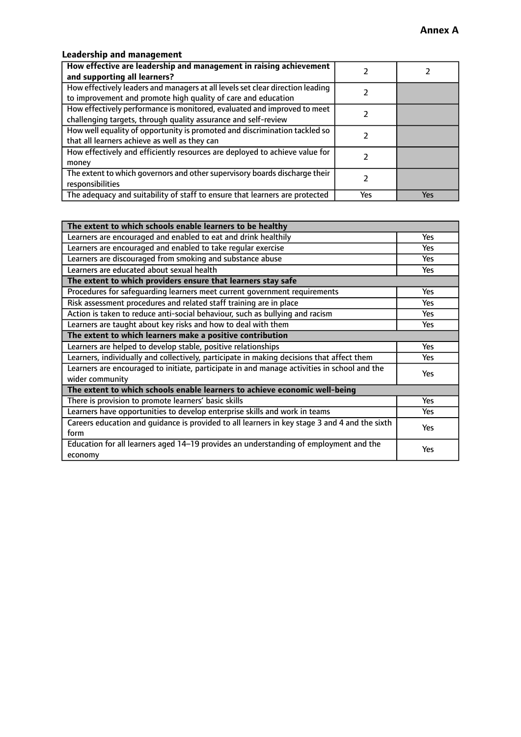## **Leadership and management**

| How effective are leadership and management in raising achievement<br>and supporting all learners?                                              |     |     |
|-------------------------------------------------------------------------------------------------------------------------------------------------|-----|-----|
| How effectively leaders and managers at all levels set clear direction leading<br>to improvement and promote high quality of care and education |     |     |
| How effectively performance is monitored, evaluated and improved to meet<br>challenging targets, through quality assurance and self-review      |     |     |
| How well equality of opportunity is promoted and discrimination tackled so<br>that all learners achieve as well as they can                     |     |     |
| How effectively and efficiently resources are deployed to achieve value for<br>money                                                            |     |     |
| The extent to which governors and other supervisory boards discharge their<br>responsibilities                                                  |     |     |
| The adequacy and suitability of staff to ensure that learners are protected                                                                     | Yes | Yes |

| The extent to which schools enable learners to be healthy                                     |            |  |
|-----------------------------------------------------------------------------------------------|------------|--|
| Learners are encouraged and enabled to eat and drink healthily                                | Yes        |  |
| Learners are encouraged and enabled to take regular exercise                                  | <b>Yes</b> |  |
| Learners are discouraged from smoking and substance abuse                                     | Yes        |  |
| Learners are educated about sexual health                                                     | Yes        |  |
| The extent to which providers ensure that learners stay safe                                  |            |  |
| Procedures for safeguarding learners meet current government requirements                     | Yes        |  |
| Risk assessment procedures and related staff training are in place                            | <b>Yes</b> |  |
| Action is taken to reduce anti-social behaviour, such as bullying and racism                  | Yes        |  |
| Learners are taught about key risks and how to deal with them                                 | Yes        |  |
| The extent to which learners make a positive contribution                                     |            |  |
| Learners are helped to develop stable, positive relationships                                 | <b>Yes</b> |  |
| Learners, individually and collectively, participate in making decisions that affect them     | <b>Yes</b> |  |
| Learners are encouraged to initiate, participate in and manage activities in school and the   | <b>Yes</b> |  |
| wider community                                                                               |            |  |
| The extent to which schools enable learners to achieve economic well-being                    |            |  |
| There is provision to promote learners' basic skills                                          | Yes        |  |
| Learners have opportunities to develop enterprise skills and work in teams                    | Yes        |  |
| Careers education and quidance is provided to all learners in key stage 3 and 4 and the sixth | Yes        |  |
| form                                                                                          |            |  |
| Education for all learners aged 14-19 provides an understanding of employment and the         | Yes        |  |
| economy                                                                                       |            |  |